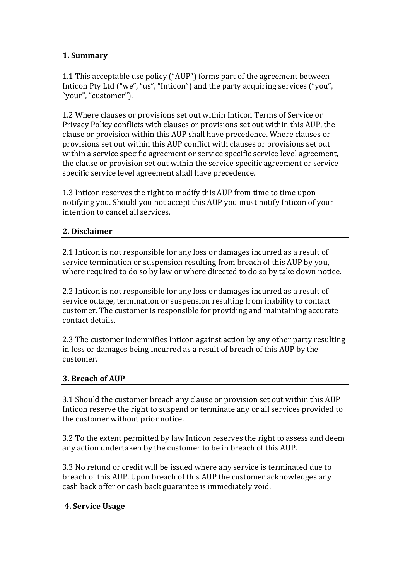## 1. Summary

1.1 This acceptable use policy ("AUP") forms part of the agreement between Inticon Pty Ltd ("we", "us", "Inticon") and the party acquiring services ("you", "your", "customer").

1.2 Where clauses or provisions set out within Inticon Terms of Service or Privacy Policy conflicts with clauses or provisions set out within this AUP, the clause or provision within this AUP shall have precedence. Where clauses or provisions set out within this AUP conflict with clauses or provisions set out within a service specific agreement or service specific service level agreement, the clause or provision set out within the service specific agreement or service specific service level agreement shall have precedence.

1.3 Inticon reserves the right to modify this AUP from time to time upon notifying you. Should you not accept this AUP you must notify Inticon of your intention to cancel all services.

## **2.#Disclaimer**

2.1 Inticon is not responsible for any loss or damages incurred as a result of service termination or suspension resulting from breach of this AUP by you, where required to do so by law or where directed to do so by take down notice.

2.2 Inticon is not responsible for any loss or damages incurred as a result of service outage, termination or suspension resulting from inability to contact customer. The customer is responsible for providing and maintaining accurate contact details.

2.3 The customer indemnifies Inticon against action by any other party resulting in loss or damages being incurred as a result of breach of this AUP by the customer.

## **3. Breach of AUP**

3.1 Should the customer breach any clause or provision set out within this AUP Inticon reserve the right to suspend or terminate any or all services provided to the customer without prior notice.

3.2 To the extent permitted by law Inticon reserves the right to assess and deem any action undertaken by the customer to be in breach of this AUP.

3.3 No refund or credit will be issued where any service is terminated due to breach of this AUP. Upon breach of this AUP the customer acknowledges any cash back offer or cash back guarantee is immediately void.

## **4.#Service Usage**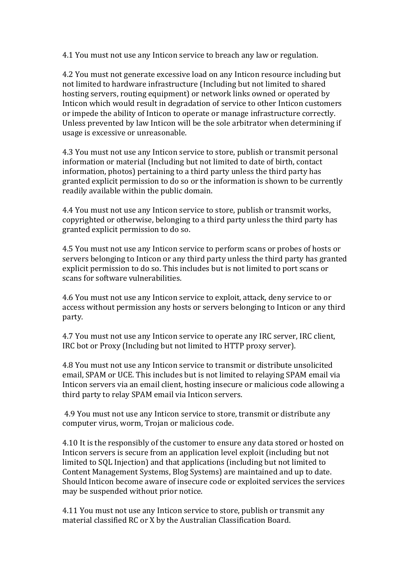4.1 You must not use any Inticon service to breach any law or regulation.

4.2 You must not generate excessive load on any Inticon resource including but not limited to hardware infrastructure (Including but not limited to shared hosting servers, routing equipment) or network links owned or operated by Inticon which would result in degradation of service to other Inticon customers or impede the ability of Inticon to operate or manage infrastructure correctly. Unless prevented by law Inticon will be the sole arbitrator when determining if usage is excessive or unreasonable.

4.3 You must not use any Inticon service to store, publish or transmit personal information or material (Including but not limited to date of birth, contact information, photos) pertaining to a third party unless the third party has granted explicit permission to do so or the information is shown to be currently readily available within the public domain.

4.4 You must not use any Inticon service to store, publish or transmit works, copyrighted or otherwise, belonging to a third party unless the third party has granted explicit permission to do so.

4.5 You must not use any Inticon service to perform scans or probes of hosts or servers belonging to Inticon or any third party unless the third party has granted explicit permission to do so. This includes but is not limited to port scans or scans for software vulnerabilities.

4.6 You must not use any Inticon service to exploit, attack, deny service to or access without permission any hosts or servers belonging to Inticon or any third party.

4.7 You must not use any Inticon service to operate any IRC server, IRC client, IRC bot or Proxy (Including but not limited to HTTP proxy server).

4.8 You must not use any Inticon service to transmit or distribute unsolicited email, SPAM or UCE. This includes but is not limited to relaying SPAM email via Inticon servers via an email client, hosting insecure or malicious code allowing a third party to relay SPAM email via Inticon servers.

4.9 You must not use any Inticon service to store, transmit or distribute any computer virus, worm, Trojan or malicious code.

4.10 It is the responsibly of the customer to ensure any data stored or hosted on Inticon servers is secure from an application level exploit (including but not limited to SQL Injection) and that applications (including but not limited to Content Management Systems, Blog Systems) are maintained and up to date. Should Inticon become aware of insecure code or exploited services the services may be suspended without prior notice.

4.11 You must not use any Inticon service to store, publish or transmit any material classified RC or X by the Australian Classification Board.